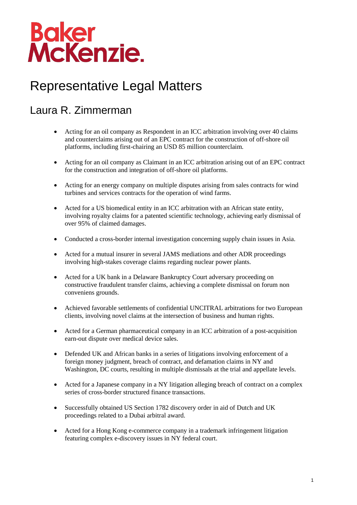## Baker<br>McKenzie.

## Representative Legal Matters

## Laura R. Zimmerman

- Acting for an oil company as Respondent in an ICC arbitration involving over 40 claims and counterclaims arising out of an EPC contract for the construction of off-shore oil platforms, including first-chairing an USD 85 million counterclaim.
- Acting for an oil company as Claimant in an ICC arbitration arising out of an EPC contract for the construction and integration of off-shore oil platforms.
- Acting for an energy company on multiple disputes arising from sales contracts for wind turbines and services contracts for the operation of wind farms.
- Acted for a US biomedical entity in an ICC arbitration with an African state entity, involving royalty claims for a patented scientific technology, achieving early dismissal of over 95% of claimed damages.
- Conducted a cross-border internal investigation concerning supply chain issues in Asia.
- Acted for a mutual insurer in several JAMS mediations and other ADR proceedings involving high-stakes coverage claims regarding nuclear power plants.
- Acted for a UK bank in a Delaware Bankruptcy Court adversary proceeding on constructive fraudulent transfer claims, achieving a complete dismissal on forum non conveniens grounds.
- Achieved favorable settlements of confidential UNCITRAL arbitrations for two European clients, involving novel claims at the intersection of business and human rights.
- Acted for a German pharmaceutical company in an ICC arbitration of a post-acquisition earn-out dispute over medical device sales.
- Defended UK and African banks in a series of litigations involving enforcement of a foreign money judgment, breach of contract, and defamation claims in NY and Washington, DC courts, resulting in multiple dismissals at the trial and appellate levels.
- Acted for a Japanese company in a NY litigation alleging breach of contract on a complex series of cross-border structured finance transactions.
- Successfully obtained US Section 1782 discovery order in aid of Dutch and UK proceedings related to a Dubai arbitral award.
- Acted for a Hong Kong e-commerce company in a trademark infringement litigation featuring complex e-discovery issues in NY federal court.